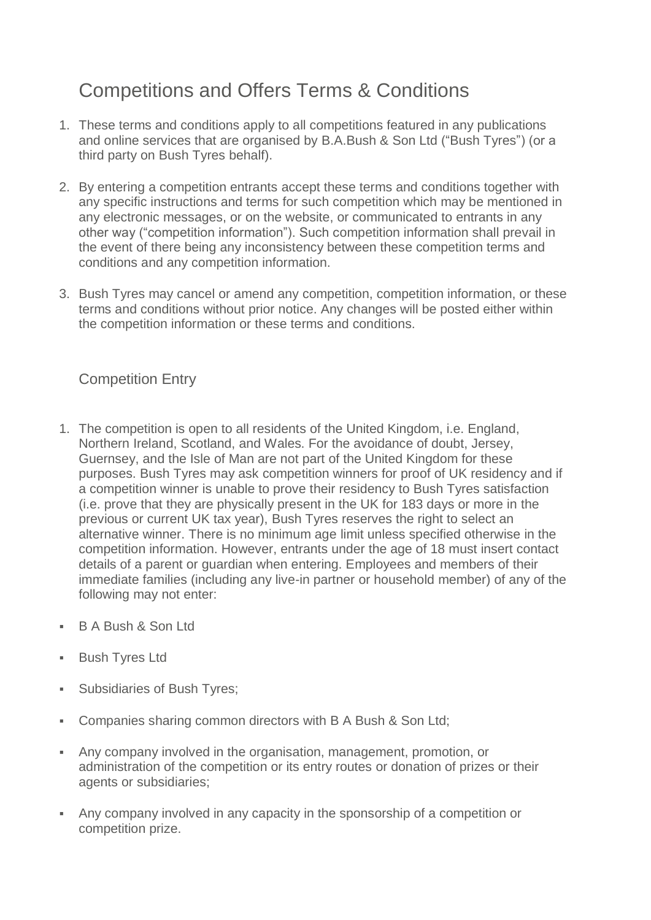# Competitions and Offers Terms & Conditions

- 1. These terms and conditions apply to all competitions featured in any publications and online services that are organised by B.A.Bush & Son Ltd ("Bush Tyres") (or a third party on Bush Tyres behalf).
- 2. By entering a competition entrants accept these terms and conditions together with any specific instructions and terms for such competition which may be mentioned in any electronic messages, or on the website, or communicated to entrants in any other way ("competition information"). Such competition information shall prevail in the event of there being any inconsistency between these competition terms and conditions and any competition information.
- 3. Bush Tyres may cancel or amend any competition, competition information, or these terms and conditions without prior notice. Any changes will be posted either within the competition information or these terms and conditions.

# Competition Entry

- 1. The competition is open to all residents of the United Kingdom, i.e. England, Northern Ireland, Scotland, and Wales. For the avoidance of doubt, Jersey, Guernsey, and the Isle of Man are not part of the United Kingdom for these purposes. Bush Tyres may ask competition winners for proof of UK residency and if a competition winner is unable to prove their residency to Bush Tyres satisfaction (i.e. prove that they are physically present in the UK for 183 days or more in the previous or current UK tax year), Bush Tyres reserves the right to select an alternative winner. There is no minimum age limit unless specified otherwise in the competition information. However, entrants under the age of 18 must insert contact details of a parent or guardian when entering. Employees and members of their immediate families (including any live-in partner or household member) of any of the following may not enter:
- B A Bush & Son Ltd
- **Bush Tyres Ltd**
- Subsidiaries of Bush Tyres;
- Companies sharing common directors with B A Bush & Son Ltd;
- Any company involved in the organisation, management, promotion, or administration of the competition or its entry routes or donation of prizes or their agents or subsidiaries;
- Any company involved in any capacity in the sponsorship of a competition or competition prize.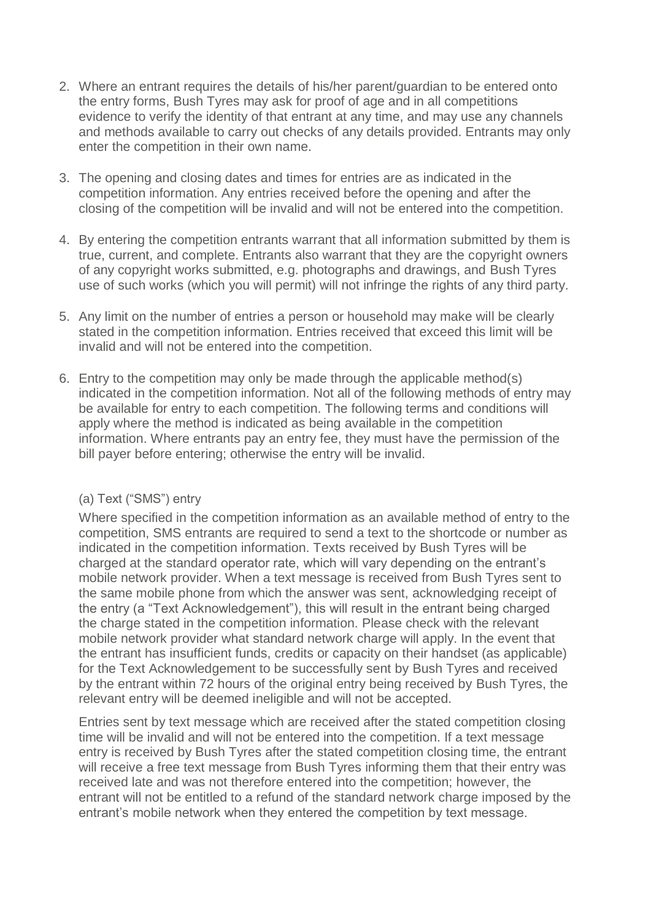- 2. Where an entrant requires the details of his/her parent/guardian to be entered onto the entry forms, Bush Tyres may ask for proof of age and in all competitions evidence to verify the identity of that entrant at any time, and may use any channels and methods available to carry out checks of any details provided. Entrants may only enter the competition in their own name.
- 3. The opening and closing dates and times for entries are as indicated in the competition information. Any entries received before the opening and after the closing of the competition will be invalid and will not be entered into the competition.
- 4. By entering the competition entrants warrant that all information submitted by them is true, current, and complete. Entrants also warrant that they are the copyright owners of any copyright works submitted, e.g. photographs and drawings, and Bush Tyres use of such works (which you will permit) will not infringe the rights of any third party.
- 5. Any limit on the number of entries a person or household may make will be clearly stated in the competition information. Entries received that exceed this limit will be invalid and will not be entered into the competition.
- 6. Entry to the competition may only be made through the applicable method(s) indicated in the competition information. Not all of the following methods of entry may be available for entry to each competition. The following terms and conditions will apply where the method is indicated as being available in the competition information. Where entrants pay an entry fee, they must have the permission of the bill payer before entering; otherwise the entry will be invalid.

#### (a) Text ("SMS") entry

Where specified in the competition information as an available method of entry to the competition, SMS entrants are required to send a text to the shortcode or number as indicated in the competition information. Texts received by Bush Tyres will be charged at the standard operator rate, which will vary depending on the entrant's mobile network provider. When a text message is received from Bush Tyres sent to the same mobile phone from which the answer was sent, acknowledging receipt of the entry (a "Text Acknowledgement"), this will result in the entrant being charged the charge stated in the competition information. Please check with the relevant mobile network provider what standard network charge will apply. In the event that the entrant has insufficient funds, credits or capacity on their handset (as applicable) for the Text Acknowledgement to be successfully sent by Bush Tyres and received by the entrant within 72 hours of the original entry being received by Bush Tyres, the relevant entry will be deemed ineligible and will not be accepted.

Entries sent by text message which are received after the stated competition closing time will be invalid and will not be entered into the competition. If a text message entry is received by Bush Tyres after the stated competition closing time, the entrant will receive a free text message from Bush Tyres informing them that their entry was received late and was not therefore entered into the competition; however, the entrant will not be entitled to a refund of the standard network charge imposed by the entrant's mobile network when they entered the competition by text message.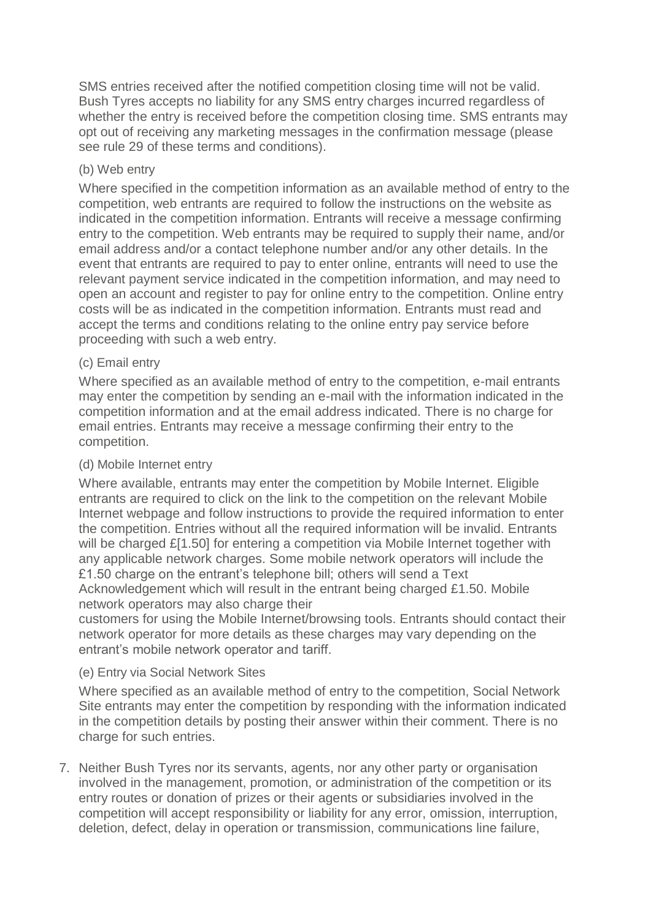SMS entries received after the notified competition closing time will not be valid. Bush Tyres accepts no liability for any SMS entry charges incurred regardless of whether the entry is received before the competition closing time. SMS entrants may opt out of receiving any marketing messages in the confirmation message (please see rule 29 of these terms and conditions).

#### (b) Web entry

Where specified in the competition information as an available method of entry to the competition, web entrants are required to follow the instructions on the website as indicated in the competition information. Entrants will receive a message confirming entry to the competition. Web entrants may be required to supply their name, and/or email address and/or a contact telephone number and/or any other details. In the event that entrants are required to pay to enter online, entrants will need to use the relevant payment service indicated in the competition information, and may need to open an account and register to pay for online entry to the competition. Online entry costs will be as indicated in the competition information. Entrants must read and accept the terms and conditions relating to the online entry pay service before proceeding with such a web entry.

#### (c) Email entry

Where specified as an available method of entry to the competition, e-mail entrants may enter the competition by sending an e-mail with the information indicated in the competition information and at the email address indicated. There is no charge for email entries. Entrants may receive a message confirming their entry to the competition.

#### (d) Mobile Internet entry

Where available, entrants may enter the competition by Mobile Internet. Eligible entrants are required to click on the link to the competition on the relevant Mobile Internet webpage and follow instructions to provide the required information to enter the competition. Entries without all the required information will be invalid. Entrants will be charged £[1.50] for entering a competition via Mobile Internet together with any applicable network charges. Some mobile network operators will include the £1.50 charge on the entrant's telephone bill; others will send a Text Acknowledgement which will result in the entrant being charged £1.50. Mobile network operators may also charge their

customers for using the Mobile Internet/browsing tools. Entrants should contact their network operator for more details as these charges may vary depending on the entrant's mobile network operator and tariff.

#### (e) Entry via Social Network Sites

Where specified as an available method of entry to the competition, Social Network Site entrants may enter the competition by responding with the information indicated in the competition details by posting their answer within their comment. There is no charge for such entries.

7. Neither Bush Tyres nor its servants, agents, nor any other party or organisation involved in the management, promotion, or administration of the competition or its entry routes or donation of prizes or their agents or subsidiaries involved in the competition will accept responsibility or liability for any error, omission, interruption, deletion, defect, delay in operation or transmission, communications line failure,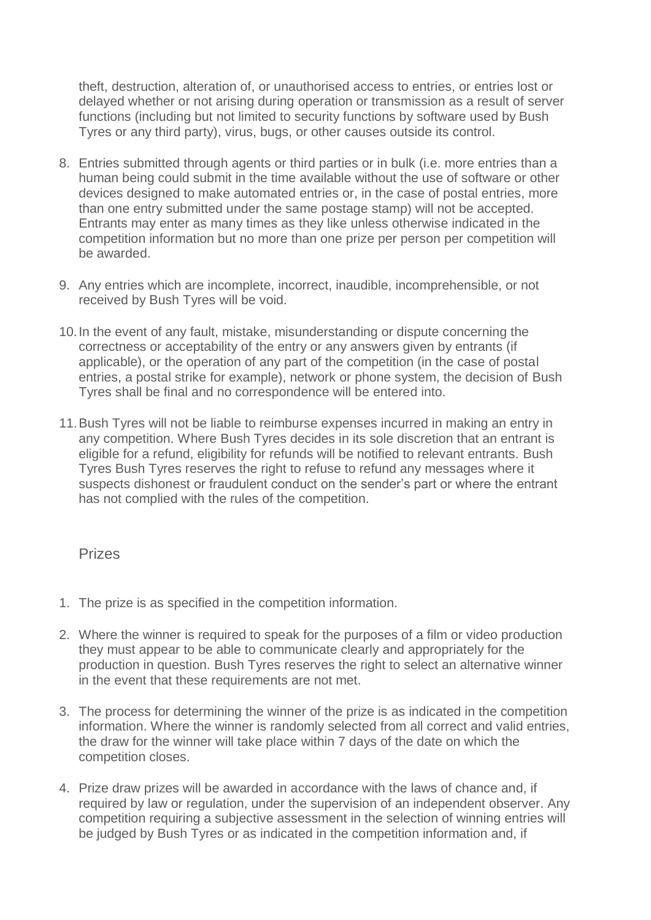theft, destruction, alteration of, or unauthorised access to entries, or entries lost or delayed whether or not arising during operation or transmission as a result of server functions (including but not limited to security functions by software used by Bush Tyres or any third party), virus, bugs, or other causes outside its control.

- 8. Entries submitted through agents or third parties or in bulk (i.e. more entries than a human being could submit in the time available without the use of software or other devices designed to make automated entries or, in the case of postal entries, more than one entry submitted under the same postage stamp) will not be accepted. Entrants may enter as many times as they like unless otherwise indicated in the competition information but no more than one prize per person per competition will be awarded.
- 9. Any entries which are incomplete, incorrect, inaudible, incomprehensible, or not received by Bush Tyres will be void.
- 10.In the event of any fault, mistake, misunderstanding or dispute concerning the correctness or acceptability of the entry or any answers given by entrants (if applicable), or the operation of any part of the competition (in the case of postal entries, a postal strike for example), network or phone system, the decision of Bush Tyres shall be final and no correspondence will be entered into.
- 11.Bush Tyres will not be liable to reimburse expenses incurred in making an entry in any competition. Where Bush Tyres decides in its sole discretion that an entrant is eligible for a refund, eligibility for refunds will be notified to relevant entrants. Bush Tyres Bush Tyres reserves the right to refuse to refund any messages where it suspects dishonest or fraudulent conduct on the sender's part or where the entrant has not complied with the rules of the competition.

#### Prizes

- 1. The prize is as specified in the competition information.
- 2. Where the winner is required to speak for the purposes of a film or video production they must appear to be able to communicate clearly and appropriately for the production in question. Bush Tyres reserves the right to select an alternative winner in the event that these requirements are not met.
- 3. The process for determining the winner of the prize is as indicated in the competition information. Where the winner is randomly selected from all correct and valid entries, the draw for the winner will take place within 7 days of the date on which the competition closes.
- 4. Prize draw prizes will be awarded in accordance with the laws of chance and, if required by law or regulation, under the supervision of an independent observer. Any competition requiring a subjective assessment in the selection of winning entries will be judged by Bush Tyres or as indicated in the competition information and, if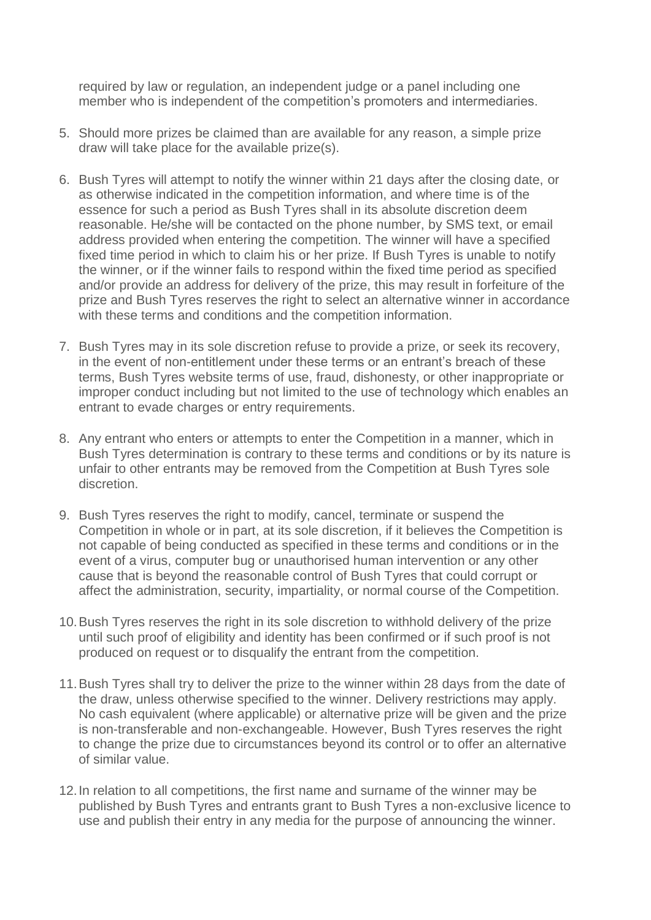required by law or regulation, an independent judge or a panel including one member who is independent of the competition's promoters and intermediaries.

- 5. Should more prizes be claimed than are available for any reason, a simple prize draw will take place for the available prize(s).
- 6. Bush Tyres will attempt to notify the winner within 21 days after the closing date, or as otherwise indicated in the competition information, and where time is of the essence for such a period as Bush Tyres shall in its absolute discretion deem reasonable. He/she will be contacted on the phone number, by SMS text, or email address provided when entering the competition. The winner will have a specified fixed time period in which to claim his or her prize. If Bush Tyres is unable to notify the winner, or if the winner fails to respond within the fixed time period as specified and/or provide an address for delivery of the prize, this may result in forfeiture of the prize and Bush Tyres reserves the right to select an alternative winner in accordance with these terms and conditions and the competition information.
- 7. Bush Tyres may in its sole discretion refuse to provide a prize, or seek its recovery, in the event of non-entitlement under these terms or an entrant's breach of these terms, Bush Tyres website terms of use, fraud, dishonesty, or other inappropriate or improper conduct including but not limited to the use of technology which enables an entrant to evade charges or entry requirements.
- 8. Any entrant who enters or attempts to enter the Competition in a manner, which in Bush Tyres determination is contrary to these terms and conditions or by its nature is unfair to other entrants may be removed from the Competition at Bush Tyres sole discretion.
- 9. Bush Tyres reserves the right to modify, cancel, terminate or suspend the Competition in whole or in part, at its sole discretion, if it believes the Competition is not capable of being conducted as specified in these terms and conditions or in the event of a virus, computer bug or unauthorised human intervention or any other cause that is beyond the reasonable control of Bush Tyres that could corrupt or affect the administration, security, impartiality, or normal course of the Competition.
- 10.Bush Tyres reserves the right in its sole discretion to withhold delivery of the prize until such proof of eligibility and identity has been confirmed or if such proof is not produced on request or to disqualify the entrant from the competition.
- 11.Bush Tyres shall try to deliver the prize to the winner within 28 days from the date of the draw, unless otherwise specified to the winner. Delivery restrictions may apply. No cash equivalent (where applicable) or alternative prize will be given and the prize is non-transferable and non-exchangeable. However, Bush Tyres reserves the right to change the prize due to circumstances beyond its control or to offer an alternative of similar value.
- 12.In relation to all competitions, the first name and surname of the winner may be published by Bush Tyres and entrants grant to Bush Tyres a non-exclusive licence to use and publish their entry in any media for the purpose of announcing the winner.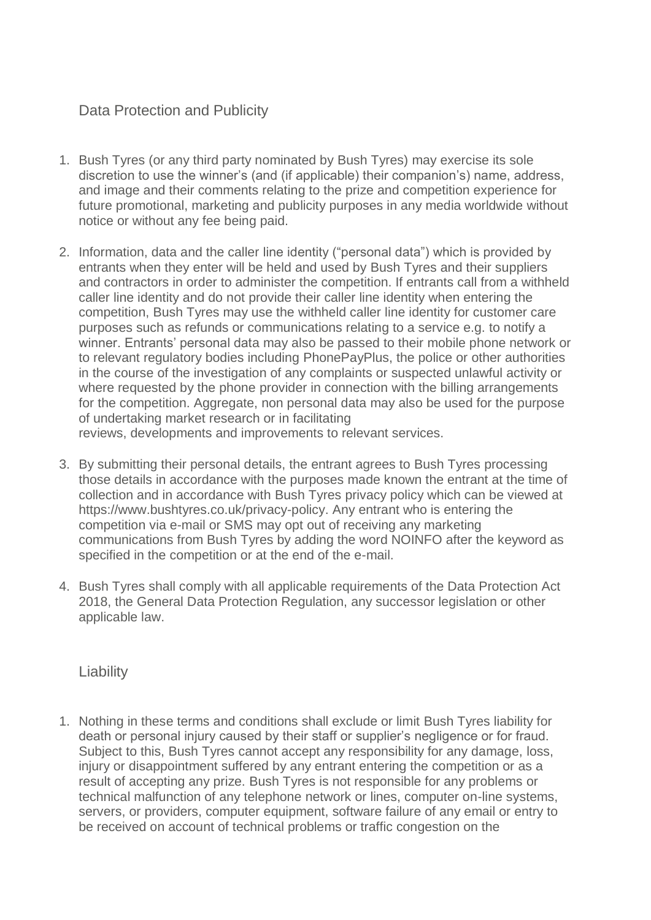# Data Protection and Publicity

- 1. Bush Tyres (or any third party nominated by Bush Tyres) may exercise its sole discretion to use the winner's (and (if applicable) their companion's) name, address, and image and their comments relating to the prize and competition experience for future promotional, marketing and publicity purposes in any media worldwide without notice or without any fee being paid.
- 2. Information, data and the caller line identity ("personal data") which is provided by entrants when they enter will be held and used by Bush Tyres and their suppliers and contractors in order to administer the competition. If entrants call from a withheld caller line identity and do not provide their caller line identity when entering the competition, Bush Tyres may use the withheld caller line identity for customer care purposes such as refunds or communications relating to a service e.g. to notify a winner. Entrants' personal data may also be passed to their mobile phone network or to relevant regulatory bodies including PhonePayPlus, the police or other authorities in the course of the investigation of any complaints or suspected unlawful activity or where requested by the phone provider in connection with the billing arrangements for the competition. Aggregate, non personal data may also be used for the purpose of undertaking market research or in facilitating

reviews, developments and improvements to relevant services.

- 3. By submitting their personal details, the entrant agrees to Bush Tyres processing those details in accordance with the purposes made known the entrant at the time of collection and in accordance with Bush Tyres privacy policy which can be viewed at https://www.bushtyres.co.uk/privacy-policy. Any entrant who is entering the competition via e-mail or SMS may opt out of receiving any marketing communications from Bush Tyres by adding the word NOINFO after the keyword as specified in the competition or at the end of the e-mail.
- 4. Bush Tyres shall comply with all applicable requirements of the Data Protection Act 2018, the General Data Protection Regulation, any successor legislation or other applicable law.

## **Liability**

1. Nothing in these terms and conditions shall exclude or limit Bush Tyres liability for death or personal injury caused by their staff or supplier's negligence or for fraud. Subject to this, Bush Tyres cannot accept any responsibility for any damage, loss, injury or disappointment suffered by any entrant entering the competition or as a result of accepting any prize. Bush Tyres is not responsible for any problems or technical malfunction of any telephone network or lines, computer on-line systems, servers, or providers, computer equipment, software failure of any email or entry to be received on account of technical problems or traffic congestion on the